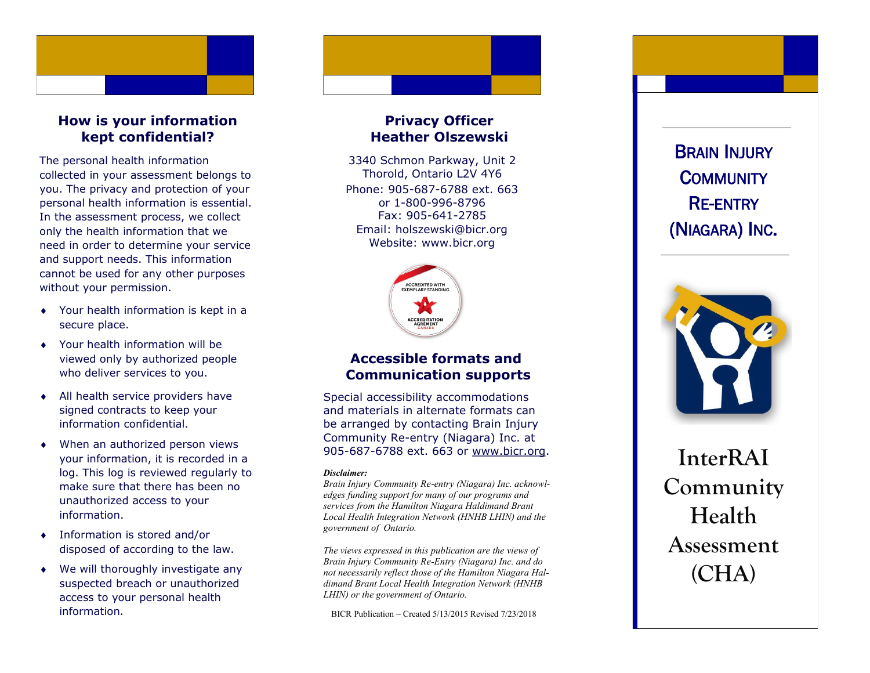

## **How is your information kept confidential?**

The personal health information collected in your assessment belongs to you. The privacy and protection of your personal health information is essential. In the assessment process, we collect only the health information that we need in order to determine your service and support needs. This information cannot be used for any other purposes without your permission.

- Your health information is kept in a secure place.
- Your health information will be viewed only by authorized people who deliver services to you.
- All health service providers have signed contracts to keep your information confidential.
- When an authorized person views your information, it is recorded in a log. This log is reviewed regularly to make sure that there has been no unauthorized access to your information.
- Information is stored and/or disposed of according to the law.
- We will thoroughly investigate any suspected breach or unauthorized access to your personal health information*.*

## **Privacy Officer Heather Olszewski**

Phone: 905 -687 -6788 ext. 663 or 1 -800 -996 -8796 Fax: 905 -641 -2785 Email: holszewski@bicr.org Website: www.bicr.org 3340 Schmon Parkway, Unit 2 Thorold, Ontario L2V 4Y6



# **Accessible formats and Communication supports**

Special accessibility accommodations and materials in alternate formats can be arranged by contacting Brain Injury Community Re -entry (Niagara) Inc. at 905-687-6788 ext. 663 or [www.bicr.org.](http://www.bicr.org)

#### *Disclaimer:*

*Brain Injury Community Re -entry (Niagara) Inc. acknowledges funding support for many of our programs and services from the Hamilton Niagara Haldimand Brant Local Health Integration Network (HNHB LHIN) and the government of Ontario.* 

*The views expressed in this publication are the views of Brain Injury Community Re -Entry (Niagara) Inc. and do not necessarily reflect those of the Hamilton Niagara Haldimand Brant Local Health Integration Network (HNHB LHIN) or the government of Ontario.* 

BICR Publication  $\sim$  Created 5/13/2015 Revised 7/23/2018

**BRAIN INJURY** <sup>C</sup>OMMUNITY RE-ENTRY (NIAGARA) INC .



**InterRAI Community Health Assessment (CHA)**